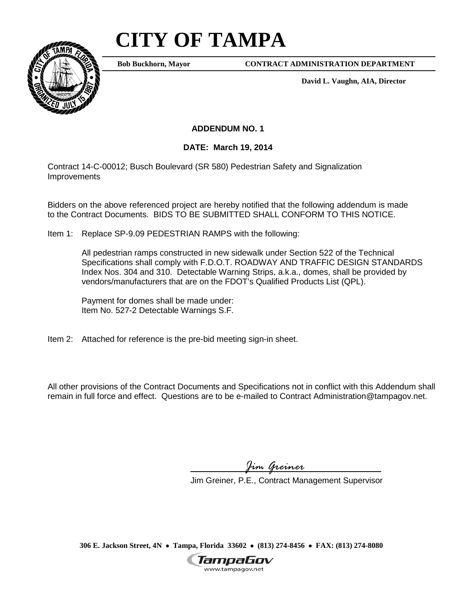## **CITY OF TAMPA**



**Bob Buckhorn, Mayor**

**CONTRACT ADMINISTRATION DEPARTMENT**

**David L. Vaughn, AIA, Director**

**ADDENDUM NO. 1**

## **DATE: March 19, 2014**

Contract 14-C-00012; Busch Boulevard (SR 580) Pedestrian Safety and Signalization Improvements

Bidders on the above referenced project are hereby notified that the following addendum is made to the Contract Documents. BIDS TO BE SUBMITTED SHALL CONFORM TO THIS NOTICE.

Item 1: Replace SP-9.09 PEDESTRIAN RAMPS with the following:

All pedestrian ramps constructed in new sidewalk under Section 522 of the Technical Specifications shall comply with F.D.O.T. ROADWAY AND TRAFFIC DESIGN STANDARDS Index Nos. 304 and 310. Detectable Warning Strips, a.k.a., domes, shall be provided by vendors/manufacturers that are on the FDOT's Qualified Products List (QPL).

Payment for domes shall be made under: Item No. 527-2 Detectable Warnings S.F.

Item 2: Attached for reference is the pre-bid meeting sign-in sheet.

All other provisions of the Contract Documents and Specifications not in conflict with this Addendum shall remain in full force and effect. Questions are to be e-mailed to Contract Administration@tampagov.net.

*Jim Greiner*

Jim Greiner, P.E., Contract Management Supervisor

**306 E. Jackson Street, 4N** • **Tampa, Florida 33602** • **(813) 274-8456** • **FAX: (813) 274-8080**